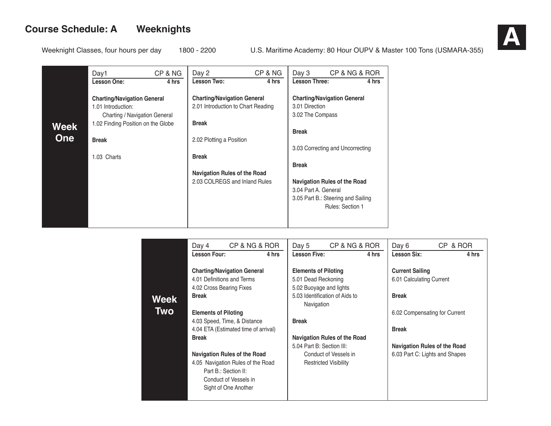

|             | Day1                                                                                                                            | CP & NG | Day 2                                                                                    | CP & NG | Day 3                                              | CP & NG & ROR                                                                                        |       |
|-------------|---------------------------------------------------------------------------------------------------------------------------------|---------|------------------------------------------------------------------------------------------|---------|----------------------------------------------------|------------------------------------------------------------------------------------------------------|-------|
|             | <b>Lesson One:</b>                                                                                                              | 4 hrs   | Lesson Two:                                                                              | 4 hrs   | <b>Lesson Three:</b>                               |                                                                                                      | 4 hrs |
| <b>Week</b> | <b>Charting/Navigation General</b><br>1.01 Introduction:<br>Charting / Navigation General<br>1.02 Finding Position on the Globe |         | <b>Charting/Navigation General</b><br>2.01 Introduction to Chart Reading<br><b>Break</b> |         | 3.01 Direction<br>3.02 The Compass<br><b>Break</b> | <b>Charting/Navigation General</b>                                                                   |       |
| <b>One</b>  | <b>Break</b>                                                                                                                    |         | 2.02 Plotting a Position                                                                 |         |                                                    |                                                                                                      |       |
|             |                                                                                                                                 |         |                                                                                          |         |                                                    | 3.03 Correcting and Uncorrecting                                                                     |       |
|             | 1.03 Charts                                                                                                                     |         | <b>Break</b>                                                                             |         | <b>Break</b>                                       |                                                                                                      |       |
|             |                                                                                                                                 |         | Navigation Rules of the Road                                                             |         |                                                    |                                                                                                      |       |
|             |                                                                                                                                 |         | 2.03 COLREGS and Inland Rules                                                            |         | 3.04 Part A. General                               | <b>Navigation Rules of the Road</b><br>3.05 Part B.: Steering and Sailing<br><b>Rules: Section 1</b> |       |

|      | Day 4                       | CP & NG & ROR                        | Day 5                       | CP & NG & ROR                  |       | Day 6                    | CP & ROR                            |
|------|-----------------------------|--------------------------------------|-----------------------------|--------------------------------|-------|--------------------------|-------------------------------------|
|      | <b>Lesson Four:</b>         | 4 hrs                                | <b>Lesson Five:</b>         |                                | 4 hrs | <b>Lesson Six:</b>       | 4 hrs                               |
|      |                             |                                      |                             |                                |       |                          |                                     |
|      |                             | <b>Charting/Navigation General</b>   | <b>Elements of Piloting</b> |                                |       | <b>Current Sailing</b>   |                                     |
|      | 4.01 Definitions and Terms  |                                      | 5.01 Dead Reckoning         |                                |       | 6.01 Calculating Current |                                     |
|      | 4.02 Cross Bearing Fixes    |                                      | 5.02 Buoyage and lights     |                                |       |                          |                                     |
| Week | <b>Break</b>                |                                      |                             | 5.03 Identification of Aids to |       | <b>Break</b>             |                                     |
|      |                             |                                      | Navigation                  |                                |       |                          |                                     |
| Two  | <b>Elements of Piloting</b> |                                      |                             |                                |       |                          | 6.02 Compensating for Current       |
|      |                             | 4.03 Speed, Time, & Distance         | <b>Break</b>                |                                |       |                          |                                     |
|      |                             | 4.04 ETA (Estimated time of arrival) |                             |                                |       | <b>Break</b>             |                                     |
|      | <b>Break</b>                |                                      |                             | Navigation Rules of the Road   |       |                          |                                     |
|      |                             |                                      | 5.04 Part B: Section III:   |                                |       |                          | <b>Navigation Rules of the Road</b> |
|      |                             | <b>Navigation Rules of the Road</b>  |                             | Conduct of Vessels in          |       |                          | 6.03 Part C: Lights and Shapes      |
|      |                             | 4.05 Navigation Rules of the Road    |                             | <b>Restricted Visibility</b>   |       |                          |                                     |
|      |                             | Part B.: Section II:                 |                             |                                |       |                          |                                     |
|      |                             | Conduct of Vessels in                |                             |                                |       |                          |                                     |
|      |                             | Sight of One Another                 |                             |                                |       |                          |                                     |
|      |                             |                                      |                             |                                |       |                          |                                     |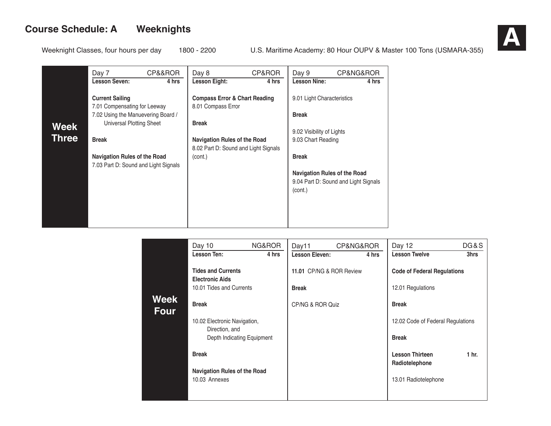

|              | Day 7<br><b>Lesson Seven:</b>                                               | CP&&ROR | Day 8                                    | CP&ROR | Day 9<br><b>Lesson Nine:</b>                    | CP&NG&ROR                            |
|--------------|-----------------------------------------------------------------------------|---------|------------------------------------------|--------|-------------------------------------------------|--------------------------------------|
|              |                                                                             | 4 hrs   | <b>Lesson Eight:</b>                     | 4 hrs  |                                                 | 4 hrs                                |
|              | <b>Current Sailing</b>                                                      |         | <b>Compass Error &amp; Chart Reading</b> |        | 9.01 Light Characteristics                      |                                      |
|              | 7.01 Compensating for Leeway<br>7.02 Using the Manuevering Board /          |         | 8.01 Compass Error                       |        | <b>Break</b>                                    |                                      |
| <b>Week</b>  | <b>Universal Plotting Sheet</b>                                             |         | <b>Break</b>                             |        |                                                 |                                      |
| <b>Three</b> | <b>Break</b>                                                                |         | <b>Navigation Rules of the Road</b>      |        | 9.02 Visibility of Lights<br>9.03 Chart Reading |                                      |
|              |                                                                             |         | 8.02 Part D: Sound and Light Signals     |        |                                                 |                                      |
|              | <b>Navigation Rules of the Road</b><br>7.03 Part D: Sound and Light Signals |         | (cont.)                                  |        | <b>Break</b>                                    |                                      |
|              |                                                                             |         |                                          |        | <b>Navigation Rules of the Road</b><br>(cont.)  | 9.04 Part D: Sound and Light Signals |
|              |                                                                             |         |                                          |        |                                                 |                                      |

|                     | Day 10                                              | NG&ROR | Day11                    | CP&NG&ROR |       | Day 12                                   | DG&S             |
|---------------------|-----------------------------------------------------|--------|--------------------------|-----------|-------|------------------------------------------|------------------|
|                     | Lesson Ten:                                         | 4 hrs  | <b>Lesson Eleven:</b>    |           | 4 hrs | <b>Lesson Twelve</b>                     | 3hrs             |
|                     | <b>Tides and Currents</b><br><b>Electronic Aids</b> |        | 11.01 CP/NG & ROR Review |           |       | <b>Code of Federal Regulations</b>       |                  |
|                     | 10.01 Tides and Currents                            |        | <b>Break</b>             |           |       | 12.01 Regulations                        |                  |
| Week<br><b>Four</b> | <b>Break</b>                                        |        | CP/NG & ROR Quiz         |           |       | <b>Break</b>                             |                  |
|                     | 10.02 Electronic Navigation,                        |        |                          |           |       | 12.02 Code of Federal Regulations        |                  |
|                     | Direction, and<br>Depth Indicating Equipment        |        |                          |           |       | <b>Break</b>                             |                  |
|                     | <b>Break</b>                                        |        |                          |           |       | <b>Lesson Thirteen</b><br>Radiotelephone | 1 <sub>hr.</sub> |
|                     | <b>Navigation Rules of the Road</b>                 |        |                          |           |       |                                          |                  |
|                     | 10.03 Annexes                                       |        |                          |           |       | 13.01 Radiotelephone                     |                  |
|                     |                                                     |        |                          |           |       |                                          |                  |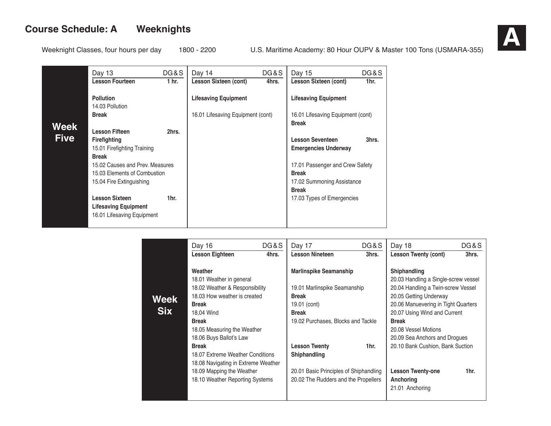|             | Day 13                                                             | DG&S  | Day 14                            | DG&S  | Day 15                                                 | DG&S             |
|-------------|--------------------------------------------------------------------|-------|-----------------------------------|-------|--------------------------------------------------------|------------------|
|             | <b>Lesson Fourteen</b>                                             | 1 hr. | Lesson Sixteen (cont)             | 4hrs. | Lesson Sixteen (cont)                                  | 1 <sub>hr.</sub> |
|             | <b>Pollution</b><br>14.03 Pollution                                |       | <b>Lifesaving Equipment</b>       |       | <b>Lifesaving Equipment</b>                            |                  |
| Week        | <b>Break</b>                                                       |       | 16.01 Lifesaving Equipment (cont) |       | 16.01 Lifesaving Equipment (cont)<br><b>Break</b>      |                  |
| <b>Five</b> | <b>Lesson Fifteen</b>                                              | 2hrs. |                                   |       |                                                        |                  |
|             | <b>Firefighting</b><br>15.01 Firefighting Training<br><b>Break</b> |       |                                   |       | <b>Lesson Seventeen</b><br><b>Emergencies Underway</b> | 3hrs.            |
|             | 15.02 Causes and Prev. Measures                                    |       |                                   |       | 17.01 Passenger and Crew Safety                        |                  |
|             | 15.03 Elements of Combustion                                       |       |                                   |       | <b>Break</b>                                           |                  |
|             | 15.04 Fire Extinguishing                                           |       |                                   |       | 17.02 Summoning Assistance                             |                  |
|             | <b>Lesson Sixteen</b>                                              | 1hr.  |                                   |       | <b>Break</b><br>17.03 Types of Emergencies             |                  |
|             | <b>Lifesaving Equipment</b>                                        |       |                                   |       |                                                        |                  |
|             | 16.01 Lifesaving Equipment                                         |       |                                   |       |                                                        |                  |
|             |                                                                    |       |                                   |       |                                                        |                  |

|                    | Day 16                                                                                                                                                                                                                                                                                                                                                                   | DG&S  | Day 17                                                                                                                                                                                                                                                                               | DG&S             | Day 18                                                                                                                                                                                                                                                                                                                                                                      | DG&S  |
|--------------------|--------------------------------------------------------------------------------------------------------------------------------------------------------------------------------------------------------------------------------------------------------------------------------------------------------------------------------------------------------------------------|-------|--------------------------------------------------------------------------------------------------------------------------------------------------------------------------------------------------------------------------------------------------------------------------------------|------------------|-----------------------------------------------------------------------------------------------------------------------------------------------------------------------------------------------------------------------------------------------------------------------------------------------------------------------------------------------------------------------------|-------|
|                    | <b>Lesson Eighteen</b>                                                                                                                                                                                                                                                                                                                                                   | 4hrs. | <b>Lesson Nineteen</b>                                                                                                                                                                                                                                                               | 3hrs.            | <b>Lesson Twenty (cont)</b>                                                                                                                                                                                                                                                                                                                                                 | 3hrs. |
| Week<br><b>Six</b> | Weather<br>18.01 Weather in general<br>18.02 Weather & Responsibility<br>18.03 How weather is created<br><b>Break</b><br>18,04 Wind<br><b>Break</b><br>18.05 Measuring the Weather<br>18.06 Buys Ballot's Law<br><b>Break</b><br>18.07 Extreme Weather Conditions<br>18.08 Navigating in Extreme Weather<br>18.09 Mapping the Weather<br>18.10 Weather Reporting Systems |       | <b>Marlinspike Seamanship</b><br>19.01 Marlinspike Seamanship<br><b>Break</b><br>19.01 (cont)<br><b>Break</b><br>19.02 Purchases, Blocks and Tackle<br><b>Lesson Twenty</b><br><b>Shiphandling</b><br>20.01 Basic Principles of Shiphandling<br>20.02 The Rudders and the Propellers | 1 <sub>hr.</sub> | <b>Shiphandling</b><br>20.03 Handling a Single-screw vessel<br>20.04 Handling a Twin-screw Vessel<br>20.05 Getting Underway<br>20.06 Manuevering in Tight Quarters<br>20.07 Using Wind and Current<br><b>Break</b><br>20.08 Vessel Motions<br>20.09 Sea Anchors and Drogues<br>20.10 Bank Cushion, Bank Suction<br><b>Lesson Twenty-one</b><br>Anchoring<br>21.01 Anchoring | 1hr.  |